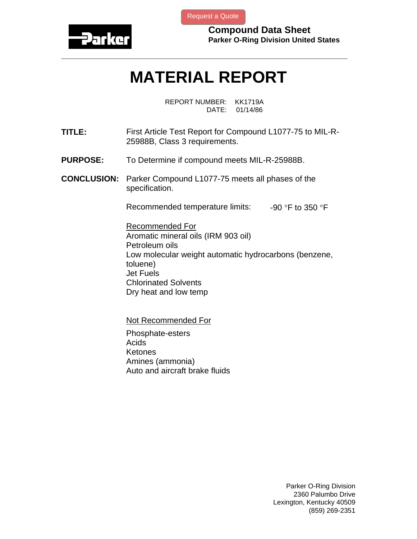

[Request a Quote](http://www.marcorubber.com/contact_quote.htm?material=Parker+L1077-75)

**Compound Data Sheet Parker O-Ring Division United States** 

## **MATERIAL REPORT**

**\_\_\_\_\_\_\_\_\_\_\_\_\_\_\_\_\_\_\_\_\_\_\_\_\_\_\_\_\_\_\_\_\_\_\_\_\_\_\_\_\_\_\_\_\_\_\_\_\_\_\_\_\_\_\_\_\_\_\_\_\_\_\_** 

REPORT NUMBER: KK1719A DATE: 01/14/86

- **TITLE:** First Article Test Report for Compound L1077-75 to MIL-R-25988B, Class 3 requirements.
- **PURPOSE:** To Determine if compound meets MIL-R-25988B.
- **CONCLUSION:** Parker Compound L1077-75 meets all phases of the specification.

Recommended temperature limits:  $-90$  °F to 350 °F

Recommended For Aromatic mineral oils (IRM 903 oil) Petroleum oils Low molecular weight automatic hydrocarbons (benzene, toluene) Jet Fuels Chlorinated Solvents Dry heat and low temp

Not Recommended For

Phosphate-esters Acids **Ketones** Amines (ammonia) Auto and aircraft brake fluids

> Parker O-Ring Division 2360 Palumbo Drive Lexington, Kentucky 40509 (859) 269-2351